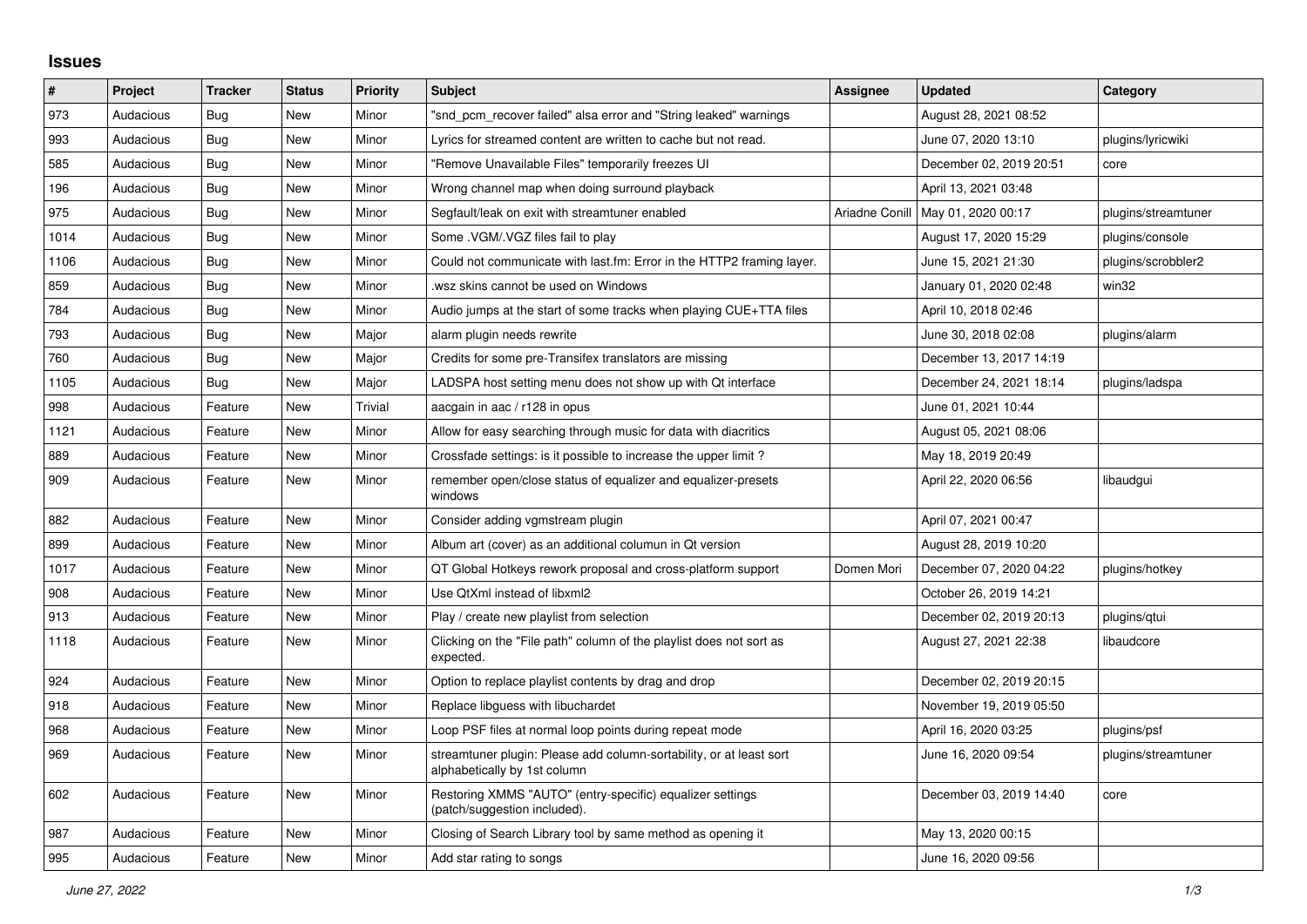## **Issues**

| #    | Project   | <b>Tracker</b> | <b>Status</b> | <b>Priority</b> | <b>Subject</b>                                                                                      | <b>Assignee</b> | <b>Updated</b>          | Category            |
|------|-----------|----------------|---------------|-----------------|-----------------------------------------------------------------------------------------------------|-----------------|-------------------------|---------------------|
| 973  | Audacious | Bug            | <b>New</b>    | Minor           | "snd pcm recover failed" alsa error and "String leaked" warnings                                    |                 | August 28, 2021 08:52   |                     |
| 993  | Audacious | Bug            | <b>New</b>    | Minor           | Lyrics for streamed content are written to cache but not read.                                      |                 | June 07, 2020 13:10     | plugins/lyricwiki   |
| 585  | Audacious | Bug            | <b>New</b>    | Minor           | "Remove Unavailable Files" temporarily freezes UI                                                   |                 | December 02, 2019 20:51 | core                |
| 196  | Audacious | <b>Bug</b>     | <b>New</b>    | Minor           | Wrong channel map when doing surround playback                                                      |                 | April 13, 2021 03:48    |                     |
| 975  | Audacious | Bug            | New           | Minor           | Segfault/leak on exit with streamtuner enabled                                                      | Ariadne Conill  | May 01, 2020 00:17      | plugins/streamtuner |
| 1014 | Audacious | Bug            | New           | Minor           | Some . VGM/. VGZ files fail to play                                                                 |                 | August 17, 2020 15:29   | plugins/console     |
| 1106 | Audacious | <b>Bug</b>     | <b>New</b>    | Minor           | Could not communicate with last.fm: Error in the HTTP2 framing layer.                               |                 | June 15, 2021 21:30     | plugins/scrobbler2  |
| 859  | Audacious | Bug            | <b>New</b>    | Minor           | wsz skins cannot be used on Windows                                                                 |                 | January 01, 2020 02:48  | win32               |
| 784  | Audacious | Bug            | <b>New</b>    | Minor           | Audio jumps at the start of some tracks when playing CUE+TTA files                                  |                 | April 10, 2018 02:46    |                     |
| 793  | Audacious | Bug            | <b>New</b>    | Major           | alarm plugin needs rewrite                                                                          |                 | June 30, 2018 02:08     | plugins/alarm       |
| 760  | Audacious | Bug            | <b>New</b>    | Major           | Credits for some pre-Transifex translators are missing                                              |                 | December 13, 2017 14:19 |                     |
| 1105 | Audacious | Bug            | <b>New</b>    | Major           | LADSPA host setting menu does not show up with Qt interface                                         |                 | December 24, 2021 18:14 | plugins/ladspa      |
| 998  | Audacious | Feature        | New           | Trivial         | aacgain in aac / r128 in opus                                                                       |                 | June 01, 2021 10:44     |                     |
| 1121 | Audacious | Feature        | New           | Minor           | Allow for easy searching through music for data with diacritics                                     |                 | August 05, 2021 08:06   |                     |
| 889  | Audacious | Feature        | New           | Minor           | Crossfade settings: is it possible to increase the upper limit?                                     |                 | May 18, 2019 20:49      |                     |
| 909  | Audacious | Feature        | <b>New</b>    | Minor           | remember open/close status of equalizer and equalizer-presets<br>windows                            |                 | April 22, 2020 06:56    | libaudgui           |
| 882  | Audacious | Feature        | <b>New</b>    | Minor           | Consider adding vgmstream plugin                                                                    |                 | April 07, 2021 00:47    |                     |
| 899  | Audacious | Feature        | <b>New</b>    | Minor           | Album art (cover) as an additional columun in Qt version                                            |                 | August 28, 2019 10:20   |                     |
| 1017 | Audacious | Feature        | <b>New</b>    | Minor           | QT Global Hotkeys rework proposal and cross-platform support                                        | Domen Mori      | December 07, 2020 04:22 | plugins/hotkey      |
| 908  | Audacious | Feature        | <b>New</b>    | Minor           | Use QtXml instead of libxml2                                                                        |                 | October 26, 2019 14:21  |                     |
| 913  | Audacious | Feature        | New           | Minor           | Play / create new playlist from selection                                                           |                 | December 02, 2019 20:13 | plugins/gtui        |
| 1118 | Audacious | Feature        | New           | Minor           | Clicking on the "File path" column of the playlist does not sort as<br>expected.                    |                 | August 27, 2021 22:38   | libaudcore          |
| 924  | Audacious | Feature        | New           | Minor           | Option to replace playlist contents by drag and drop                                                |                 | December 02, 2019 20:15 |                     |
| 918  | Audacious | Feature        | New           | Minor           | Replace libguess with libuchardet                                                                   |                 | November 19, 2019 05:50 |                     |
| 968  | Audacious | Feature        | <b>New</b>    | Minor           | Loop PSF files at normal loop points during repeat mode                                             |                 | April 16, 2020 03:25    | plugins/psf         |
| 969  | Audacious | Feature        | New           | Minor           | streamtuner plugin: Please add column-sortability, or at least sort<br>alphabetically by 1st column |                 | June 16, 2020 09:54     | plugins/streamtuner |
| 602  | Audacious | Feature        | <b>New</b>    | Minor           | Restoring XMMS "AUTO" (entry-specific) equalizer settings<br>(patch/suggestion included).           |                 | December 03, 2019 14:40 | core                |
| 987  | Audacious | Feature        | <b>New</b>    | Minor           | Closing of Search Library tool by same method as opening it                                         |                 | May 13, 2020 00:15      |                     |
| 995  | Audacious | Feature        | New           | Minor           | Add star rating to songs                                                                            |                 | June 16, 2020 09:56     |                     |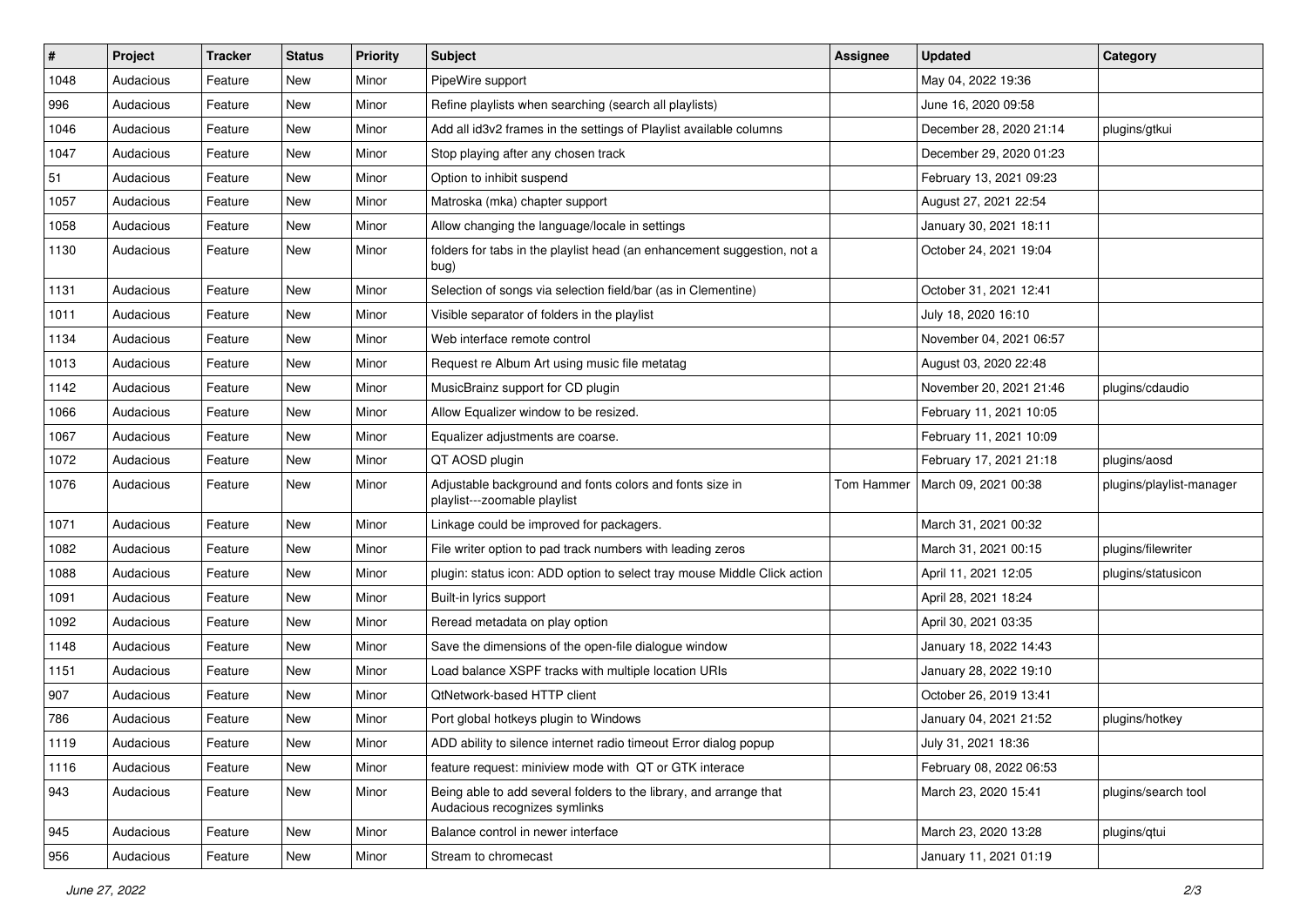| $\#$ | Project   | <b>Tracker</b> | <b>Status</b> | <b>Priority</b> | <b>Subject</b>                                                                                      | <b>Assignee</b> | <b>Updated</b>          | Category                 |
|------|-----------|----------------|---------------|-----------------|-----------------------------------------------------------------------------------------------------|-----------------|-------------------------|--------------------------|
| 1048 | Audacious | Feature        | New           | Minor           | PipeWire support                                                                                    |                 | May 04, 2022 19:36      |                          |
| 996  | Audacious | Feature        | <b>New</b>    | Minor           | Refine playlists when searching (search all playlists)                                              |                 | June 16, 2020 09:58     |                          |
| 1046 | Audacious | Feature        | New           | Minor           | Add all id3v2 frames in the settings of Playlist available columns                                  |                 | December 28, 2020 21:14 | plugins/gtkui            |
| 1047 | Audacious | Feature        | New           | Minor           | Stop playing after any chosen track                                                                 |                 | December 29, 2020 01:23 |                          |
| 51   | Audacious | Feature        | New           | Minor           | Option to inhibit suspend                                                                           |                 | February 13, 2021 09:23 |                          |
| 1057 | Audacious | Feature        | New           | Minor           | Matroska (mka) chapter support                                                                      |                 | August 27, 2021 22:54   |                          |
| 1058 | Audacious | Feature        | New           | Minor           | Allow changing the language/locale in settings                                                      |                 | January 30, 2021 18:11  |                          |
| 1130 | Audacious | Feature        | New           | Minor           | folders for tabs in the playlist head (an enhancement suggestion, not a<br>bug)                     |                 | October 24, 2021 19:04  |                          |
| 1131 | Audacious | Feature        | New           | Minor           | Selection of songs via selection field/bar (as in Clementine)                                       |                 | October 31, 2021 12:41  |                          |
| 1011 | Audacious | Feature        | New           | Minor           | Visible separator of folders in the playlist                                                        |                 | July 18, 2020 16:10     |                          |
| 1134 | Audacious | Feature        | New           | Minor           | Web interface remote control                                                                        |                 | November 04, 2021 06:57 |                          |
| 1013 | Audacious | Feature        | New           | Minor           | Request re Album Art using music file metatag                                                       |                 | August 03, 2020 22:48   |                          |
| 1142 | Audacious | Feature        | New           | Minor           | MusicBrainz support for CD plugin                                                                   |                 | November 20, 2021 21:46 | plugins/cdaudio          |
| 1066 | Audacious | Feature        | New           | Minor           | Allow Equalizer window to be resized.                                                               |                 | February 11, 2021 10:05 |                          |
| 1067 | Audacious | Feature        | New           | Minor           | Equalizer adjustments are coarse.                                                                   |                 | February 11, 2021 10:09 |                          |
| 1072 | Audacious | Feature        | New           | Minor           | QT AOSD plugin                                                                                      |                 | February 17, 2021 21:18 | plugins/aosd             |
| 1076 | Audacious | Feature        | New           | Minor           | Adjustable background and fonts colors and fonts size in<br>playlist---zoomable playlist            | Tom Hammer      | March 09, 2021 00:38    | plugins/playlist-manager |
| 1071 | Audacious | Feature        | New           | Minor           | Linkage could be improved for packagers.                                                            |                 | March 31, 2021 00:32    |                          |
| 1082 | Audacious | Feature        | New           | Minor           | File writer option to pad track numbers with leading zeros                                          |                 | March 31, 2021 00:15    | plugins/filewriter       |
| 1088 | Audacious | Feature        | New           | Minor           | plugin: status icon: ADD option to select tray mouse Middle Click action                            |                 | April 11, 2021 12:05    | plugins/statusicon       |
| 1091 | Audacious | Feature        | New           | Minor           | Built-in lyrics support                                                                             |                 | April 28, 2021 18:24    |                          |
| 1092 | Audacious | Feature        | New           | Minor           | Reread metadata on play option                                                                      |                 | April 30, 2021 03:35    |                          |
| 1148 | Audacious | Feature        | New           | Minor           | Save the dimensions of the open-file dialogue window                                                |                 | January 18, 2022 14:43  |                          |
| 1151 | Audacious | Feature        | New           | Minor           | Load balance XSPF tracks with multiple location URIs                                                |                 | January 28, 2022 19:10  |                          |
| 907  | Audacious | Feature        | New           | Minor           | QtNetwork-based HTTP client                                                                         |                 | October 26, 2019 13:41  |                          |
| 786  | Audacious | Feature        | <b>New</b>    | Minor           | Port global hotkeys plugin to Windows                                                               |                 | January 04, 2021 21:52  | plugins/hotkey           |
| 1119 | Audacious | Feature        | New           | Minor           | ADD ability to silence internet radio timeout Error dialog popup                                    |                 | July 31, 2021 18:36     |                          |
| 1116 | Audacious | Feature        | New           | Minor           | feature request: miniview mode with QT or GTK interace                                              |                 | February 08, 2022 06:53 |                          |
| 943  | Audacious | Feature        | New           | Minor           | Being able to add several folders to the library, and arrange that<br>Audacious recognizes symlinks |                 | March 23, 2020 15:41    | plugins/search tool      |
| 945  | Audacious | Feature        | New           | Minor           | Balance control in newer interface                                                                  |                 | March 23, 2020 13:28    | plugins/qtui             |
| 956  | Audacious | Feature        | New           | Minor           | Stream to chromecast                                                                                |                 | January 11, 2021 01:19  |                          |